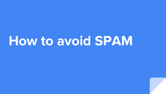# **How to avoid SPAM**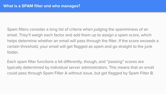Spam filters consider a long list of criteria when judging the spamminess of an email. They'll weigh each factor and add them up to assign a spam score, which helps determine whether an email will pass through the filter. If the score exceeds a certain threshold, your email will get flagged as spam and go straight to the junk folder.

Each spam filter functions a bit differently, though, and "passing" scores are typically determined by individual server administrators. This means that an email could pass through Spam Filter A without issue, but get flagged by Spam Filter B.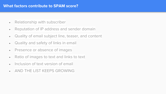#### **What factors contribute to SPAM score?**

- Relationship with subscriber
- Reputation of IP address and sender domain
- Quality of email subject line, teaser, and content
- Quality and safety of links in email
- Presence or absence of images
- Ratio of images to text and links to text
- $\bullet$  Inclusion of text version of email
- AND THE LIST KEEPS GROWING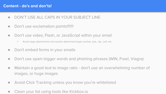#### **Content - do's and don'ts!**

- DON'T USE ALL CAPS IN YOUR SUBJECT LINE
- Don't use exclamation points!!!!!!!!
- Don't use video, Flash, or JavaScript within your email
	- Avoid large attachments and certain attachment types suchas .exe, .zip, .swf, etc.
- Don't embed forms in your emails
- Don't use spam trigger words and phishing phrases (WIN, Free!, Viagra)
- Maintain a good text to image ratio don't use an overwhelming number of images, or huge images
- Avoid Click Tracking unless you know you're whitelisted
- Clean your list using tools like Kickbox.io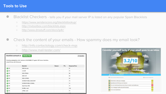### **Tools to Use**

- Blacklist Checkers tells you if your mail server IP is listed on any popular Spam Blacklists
	- https://www.senderscore.org/blacklistlookup/
	- http://mxtoolbox.com/blacklists.aspx
	- http://www.dnsstuff.com/docs/ip4r/
- Check the content of your emails How spammy does my email look?
	- http://info.contactology.com/check-mqs
	- http://www.mail-tester.com/

| blacklist:outreach.jo                                                                                               | <b>Monitor This</b>  |        |            | $\mathbb C$ blacklist |  |  |
|---------------------------------------------------------------------------------------------------------------------|----------------------|--------|------------|-----------------------|--|--|
| Checking outreach.io which resolves to 54.192.98.117 against 107 known blacklists<br>Listed 0 times with 0 timeouts |                      |        |            |                       |  |  |
|                                                                                                                     | <b>Blacklist</b>     | Reason | <b>TTL</b> | ResponseTime          |  |  |
| OOK                                                                                                                 | <b>BSB Domain</b>    |        |            | 57                    |  |  |
| $\bullet$ OK                                                                                                        | ivmURI               |        |            | 74                    |  |  |
| $\bullet$ OK                                                                                                        | <b>SEM FRESH</b>     |        |            | 56                    |  |  |
| $\bullet$ OK                                                                                                        | <b>SEM URI</b>       |        |            | 53                    |  |  |
| $\bullet$ OK                                                                                                        | <b>SEM URIRED</b>    |        |            | 54                    |  |  |
| OOK                                                                                                                 | SORBS RHSBL BADCONF  |        |            | 74                    |  |  |
| $\bullet$ OK                                                                                                        | SORBS RHSBL NOMAIL   |        |            | 74                    |  |  |
| $\bullet$ OK                                                                                                        | Spamhaus DBL         |        |            | 74                    |  |  |
| $\bullet$ OK                                                                                                        | SURBL multi          |        |            | 155                   |  |  |
| $\bullet$ OK                                                                                                        | <b>URIBL</b> multi   |        |            | 74                    |  |  |
| $\sim$                                                                                                              | $\ddot{\phantom{1}}$ |        |            | $-10$                 |  |  |

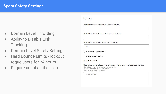- **Domain Level Throttling**
- **Ability to Disable Link Tracking**
- **Domain Level Safety Settings**
- **Hard Bounce Limits lockout** rogue users for 24 hours
- Require unsubscribe links

#### **Settings**

150

Maximum emails a prospect can be sent per day:

Maximum emails a prospect can be sent per week:

Maximum emails a domain can be sent per day:

Disable link click tracking

Disable open tracking

#### **SAFETY SETTINGS**

Hide emails and email activity for prospects who have an email address matching: \*@gmail.com - any email ending with @gmail.com wes@\*  $-$  any email starting with wes@ "wes" - any email including wes

1 email per line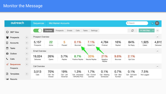| outreach                           |                                                                                                                                                                                                                                                                                                                                                                                                                             | <b>Sequences</b>     |                            | <b>Mid Market Accounts</b>      |                                        |                                   |                                     |                              | Q Search                          |                    | EC<br>ч                   |
|------------------------------------|-----------------------------------------------------------------------------------------------------------------------------------------------------------------------------------------------------------------------------------------------------------------------------------------------------------------------------------------------------------------------------------------------------------------------------|----------------------|----------------------------|---------------------------------|----------------------------------------|-----------------------------------|-------------------------------------|------------------------------|-----------------------------------|--------------------|---------------------------|
| $\circ$<br>360° View               |                                                                                                                                                                                                                                                                                                                                                                                                                             |                      | Overview                   | Emails<br>Prospects             | Calls                                  | Settings<br>Tasks                 |                                     |                              | C                                 | + Add Step         | $\equiv$<br>۰             |
| <b>警</b> Prospects                 | $\begin{picture}(220,20) \put(0,0){\dashbox{0.5}(5,0){ }} \thicklines \put(0,0){\dashbox{0.5}(5,0){ }} \thicklines \put(0,0){\dashbox{0.5}(5,0){ }} \thicklines \put(0,0){\dashbox{0.5}(5,0){ }} \thicklines \put(0,0){\dashbox{0.5}(5,0){ }} \thicklines \put(0,0){\dashbox{0.5}(5,0){ }} \thicklines \put(0,0){\dashbox{0.5}(5,0){ }} \thicklines \put(0,0){\dashbox{0.5}(5,0){ }} \thicklines \put(0,0){\dashbox{0.5}(5$ | Prospect Overview    |                            |                                 |                                        |                                   |                                     |                              |                                   |                    | $\underline{\text{Id}}$   |
| 圓<br>Accounts                      | $\begin{picture}(220,20) \put(0,0){\dashbox{0.5}(5,0){ }} \thicklines \put(0,0){\dashbox{0.5}(5,0){ }} \thicklines \put(0,0){\dashbox{0.5}(5,0){ }} \thicklines \put(0,0){\dashbox{0.5}(5,0){ }} \thicklines \put(0,0){\dashbox{0.5}(5,0){ }} \thicklines \put(0,0){\dashbox{0.5}(5,0){ }} \thicklines \put(0,0){\dashbox{0.5}(5,0){ }} \thicklines \put(0,0){\dashbox{0.5}(5,0){ }} \thicklines \put(0,0){\dashbox{0.5}(5$ | 5,157<br>Prospects   | 22<br>Active               | 5<br>Paused                     | 0.1%<br>Bounced                        | 7.1%<br>Opted Out                 | 4,784<br>Finished                   | 16%<br>Replied               | 84%<br>No Reply                   | 1,925<br>Called    | 4,815<br>Delivered        |
| ₩<br>Tasks                         | $\begin{picture}(220,20) \put(0,0){\dashbox{0.5}(5,0){ }} \thicklines \put(0,0){\dashbox{0.5}(5,0){ }} \thicklines \put(0,0){\dashbox{0.5}(5,0){ }} \thicklines \put(0,0){\dashbox{0.5}(5,0){ }} \thicklines \put(0,0){\dashbox{0.5}(5,0){ }} \thicklines \put(0,0){\dashbox{0.5}(5,0){ }} \thicklines \put(0,0){\dashbox{0.5}(5,0){ }} \thicklines \put(0,0){\dashbox{0.5}(5,0){ }} \thicklines \put(0,0){\dashbox{0.5}(5$ | Email Overview       |                            |                                 |                                        |                                   |                                     |                              |                                   |                    | $\underline{\text{Int}}$  |
| $\Omega$<br>Outbox                 | $\begin{picture}(220,20) \put(0,0){\dashbox{0.5}(5,0){ }} \thicklines \put(0,0){\dashbox{0.5}(5,0){ }} \thicklines \put(0,0){\dashbox{0.5}(5,0){ }} \thicklines \put(0,0){\dashbox{0.5}(5,0){ }} \thicklines \put(0,0){\dashbox{0.5}(5,0){ }} \thicklines \put(0,0){\dashbox{0.5}(5,0){ }} \thicklines \put(0,0){\dashbox{0.5}(5,0){ }} \thicklines \put(0,0){\dashbox{0.5}(5,0){ }} \thicklines \put(0,0){\dashbox{0.5}(5$ |                      |                            |                                 |                                        |                                   |                                     |                              |                                   |                    |                           |
| J<br>Calls                         | $\begin{picture}(120,20) \put(0,0){\dashbox{0.5}(120,0){ }} \thicklines \put(0,0){\dashbox{0.5}(120,0){ }} \thicklines \put(0,0){\dashbox{0.5}(120,0){ }} \thicklines \put(0,0){\dashbox{0.5}(120,0){ }} \thicklines \put(0,0){\dashbox{0.5}(120,0){ }} \thicklines \put(0,0){\dashbox{0.5}(120,0){ }} \thicklines \put(0,0){\dashbox{0.5}(120,0){ }} \thicklines \put(0,0){\dashbox{0.5}(120,0){ }} \thicklines$           | 19,024<br>Deliveries | 26%<br>Opens               | 3.7%<br>Replies                 | 8.7%<br>Positive Replies               | 33%<br>Neutral Replies            | 21%<br>Negative<br>Replies          | 9.6%<br><b>Bounces</b>       | 2.1%<br>Opt Outs                  |                    |                           |
| ∢<br><b>Sequences</b><br>Prospects | $\begin{picture}(20,20) \put(0,0){\dashbox{0.5}(5,0){ }} \thicklines \put(0,0){\dashbox{0.5}(5,0){ }} \thicklines \put(0,0){\dashbox{0.5}(5,0){ }} \thicklines \put(0,0){\dashbox{0.5}(5,0){ }} \thicklines \put(0,0){\dashbox{0.5}(5,0){ }} \thicklines \put(0,0){\dashbox{0.5}(5,0){ }} \thicklines \put(0,0){\dashbox{0.5}(5,0){ }} \thicklines \put(0,0){\dashbox{0.5}(5,0){ }} \thicklines \put(0,0){\dashbox{0.5}(5,$ | Call Overview        |                            |                                 |                                        |                                   |                                     |                              |                                   |                    | $\underline{\text{[dd]}}$ |
| Ռ<br>Templates                     | $\begin{picture}(220,20) \put(0,0){\dashbox{0.5}(5,0){ }} \thicklines \put(0,0){\dashbox{0.5}(5,0){ }} \thicklines \put(0,0){\dashbox{0.5}(5,0){ }} \thicklines \put(0,0){\dashbox{0.5}(5,0){ }} \thicklines \put(0,0){\dashbox{0.5}(5,0){ }} \thicklines \put(0,0){\dashbox{0.5}(5,0){ }} \thicklines \put(0,0){\dashbox{0.5}(5,0){ }} \thicklines \put(0,0){\dashbox{0.5}(5,0){ }} \thicklines \put(0,0){\dashbox{0.5}(5$ | 3,513<br>Calls       | 70%<br>Call - No<br>Answer | 19%<br>Call - Left<br>Voicemail | 1.3%<br>Call - Answered<br>- WRONG POC | 1.7%<br>Call - Correct<br>Connect | 0.1%<br>Call - Meeting<br>Scheduled | 0.7%<br>Call - Bad<br>Number | 0.1%<br>Call - Call back<br>later | 7.5%<br>Not Logged |                           |
| <b>III</b> Reports                 |                                                                                                                                                                                                                                                                                                                                                                                                                             |                      |                            |                                 |                                        |                                   |                                     |                              |                                   |                    |                           |